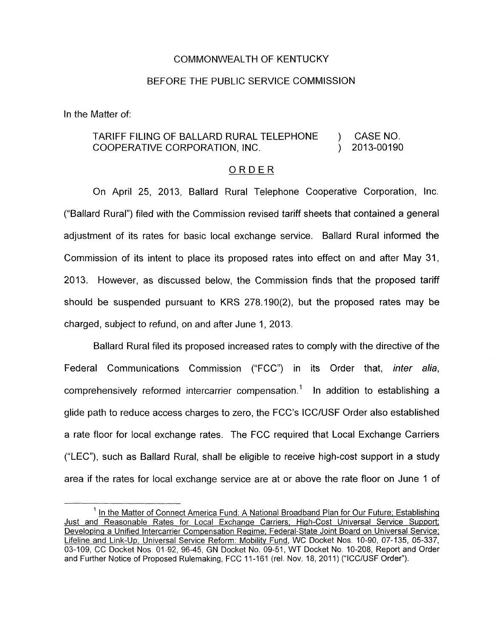## COMMONWEALTH OF KENTUCKY

## BEFORE THE PUBLIC SERVICE COMMISSION

In the Matter of:

## TARIFF FILING OF BALLARD RURAL TELEPHONE ) CASE NO. COOPERATIVE CORPORATION, INC.  $(2)$

## ORDER

On April 25, 2013, Ballard Rural Telephone Cooperative Corporation, Inc. ("Ballard Rural") filed with the Commission revised tariff sheets that contained a general adjustment of its rates for basic local exchange service. Ballard Rural informed the Commission of its intent to place its proposed rates into effect on and after May 31, 2013. However, as discussed below, the Commission finds that the proposed tariff should be suspended pursuant to KRS 278.190(2), but the proposed rates may be charged, subject to refund, on and after June 1, 2013.

Ballard Rural filed its proposed increased rates to comply with the directive of the Federal Communications Commission ("FCC") in its Order that, *inter alia,* comprehensively reformed intercarrier compensation.' In addition to establishing a glide path to reduce access charges to zero, the FCC's ICC/USF Order also established a rate floor for local exchange rates. The FCC required that Local Exchange Carriers ("LEC"), such as Ballard Rural, shall be eligible to receive high-cost support in a study area if the rates for local exchange service are at or above the rate floor on June 1 of

<sup>&</sup>lt;sup>1</sup> In the Matter of Connect America Fund: A National Broadband Plan for Our Future; Establishing Just and Reasonable Rates for Local Exchange Carriers; High-Cost Universal Service Support; Developing a Unified lntercarrier Compensation Regime; Federal-State Joint Board on Universal Service; Lifeline and Link-Up, Universal Service Reform: Mobilitv Fund, WC Docket Nos. 10-90, 07-135, 05-337, 03-109, CC Docket Nos 01-92, 96-45, GN Docket No. 09-51, WT Docket No 10-208, Report and Order and Further Notice of Proposed Rulemaking, FCC 11-161 (rel. Nov. 18, 2011) ("ICC/USF Order").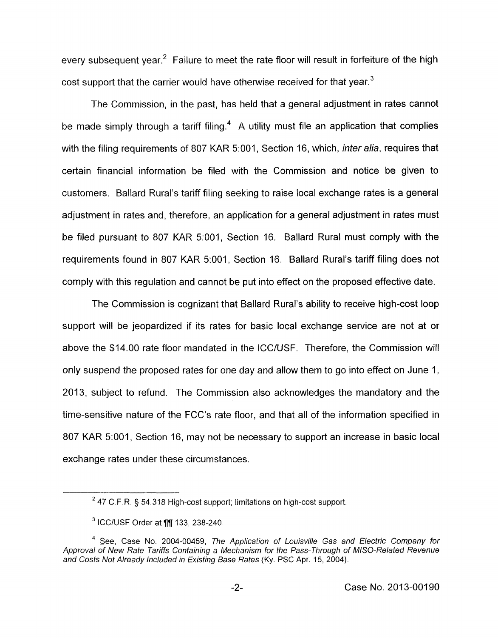every subsequent year.<sup>2</sup> Failure to meet the rate floor will result in forfeiture of the high cost support that the carrier would have otherwise received for that year.<sup>3</sup>

The Commission, in the past, has held that a general adjustment in rates cannot be made simply through a tariff filing.<sup>4</sup> A utility must file an application that complies with the filing requirements of 807 KAR 5:001, Section 16, which, *inter alia*, requires that certain financial information be filed with the Commission and notice be given to customers. Ballard Rural's tariff filing seeking to raise local exchange rates is a general adjustment in rates and, therefore, an application for a general adjustment in rates must be filed pursuant to 807 KAR 5:001, Section 16. Ballard Rural must comply with the requirements found in 807 KAR 5:001, Section 16. Ballard Rural's tariff filing does not comply with this regulation and cannot be put into effect on the proposed effective date.

The Commission is cognizant that Ballard Rural's ability to receive high-cost loop support will be jeopardized if its rates for basic local exchange service are not at or above the \$14.00 rate floor mandated in the ICC/USF. Therefore, the Commission will only suspend the proposed rates for one day and allow them to go into effect on June 1, 2013, subject to refund. The Commission also acknowledges the mandatory and the time-sensitive nature of the FCC's rate floor, and that all of the information specified in 807 KAR 5:001, Section 16, may not be necessary to support an increase in basic local exchange rates under these circumstances.

<sup>47</sup> C F.R. *5* 54.318 *High-cost* support; *limitations* on *high-cost* support 2

*ICC/USF* Order *at* **99** 133, 238-240.

<sup>&</sup>lt;sup>4</sup> See, Case No. 2004-00459, The Application of Louisville Gas and Electric Company for *Approval of New Rate Tariffs Containing a Mechanism for the Pass-Through of MISO-Related Revenue*  and Costs Not Already Included in Existing Base Rates (Ky. PSC Apr. 15, 2004).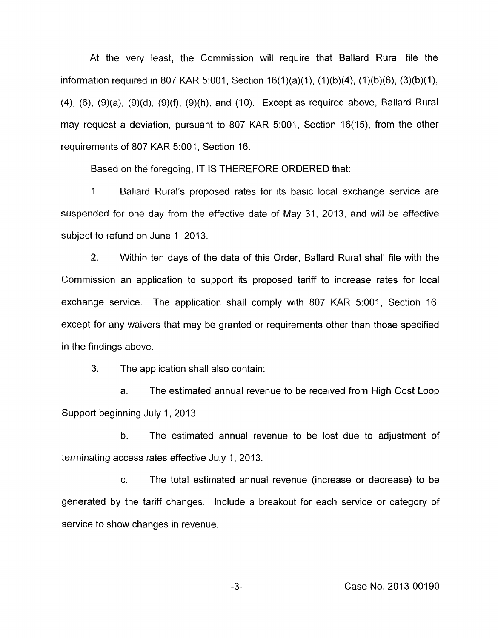At the very least, the Commission will require that Ballard Rural file the information required in 807 KAR 5:001, Section 16(1)(a)(1), (1)(b)(4), (1)(b)(6), (3)(b)(1),  $(4)$ ,  $(6)$ ,  $(9)(a)$ ,  $(9)(d)$ ,  $(9)(f)$ ,  $(9)(h)$ , and  $(10)$ . Except as required above, Ballard Rural may request a deviation, pursuant to 807 KAR 5:001, Section 16(15), from the other requirements of 807 KAR 5:001, Section 16.

Based on the foregoing, IT IS THEREFORE ORDERED that:

1. Ballard Rural's proposed rates for its basic local exchange service are suspended for one day from the effective date of May 31, 2013, and will be effective subject to refund on June 1, 2013.

2. Within ten days of the date of this Order, Ballard Rural shall file with the Commission an application to support its proposed tariff to increase rates for local exchange service. The application shall comply with 807 KAR 5:001, Section 16, except for any waivers that may be granted or requirements other than those specified in the findings above.

3. The application shall also contain:

a. The estimated annual revenue to be received from High Cost Loop Support beginning July 1, 2013.

b. The estimated annual revenue to be lost due to adjustment of terminating access rates effective July 1, 2013.

c. The total estimated annual revenue (increase or decrease) to be generated by the tariff changes. Include a breakout for each service or category of service to show changes in revenue.

-3- Case No. 2013-00190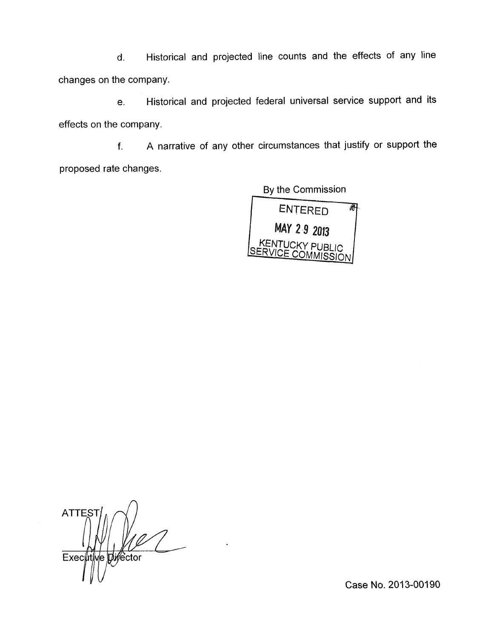d. Historical and projected line counts and the effects of any line changes on the company.

e. Historical and projected federal universal service support and its effects on the company.

f. A narrative of any other circumstances that justify or support the proposed rate changes.

> By the Commission ENTERED Ā MAY 29 2013 **KENTUCKY PUBLIC<br>ERVICE COMMISSION**

 $\Delta$ **ATTES Difector** Executi ve i

Case No. 2013-00190